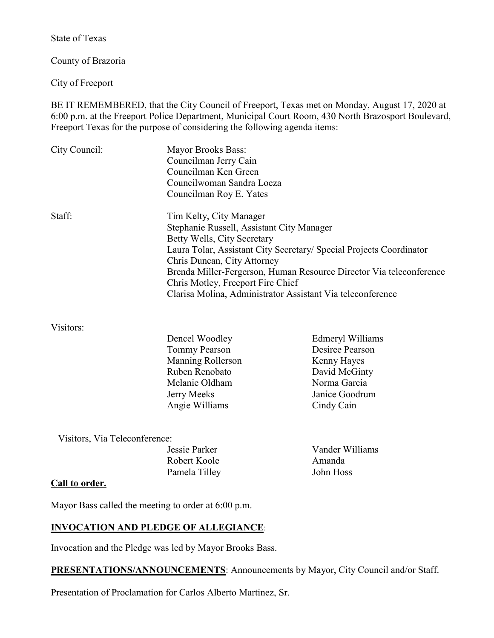State of Texas

County of Brazoria

City of Freeport

BE IT REMEMBERED, that the City Council of Freeport, Texas met on Monday, August 17, 2020 at 6:00 p.m. at the Freeport Police Department, Municipal Court Room, 430 North Brazosport Boulevard, Freeport Texas for the purpose of considering the following agenda items:

| City Council:                                                       | Mayor Brooks Bass:<br>Councilman Jerry Cain<br>Councilman Ken Green |                         |
|---------------------------------------------------------------------|---------------------------------------------------------------------|-------------------------|
|                                                                     |                                                                     |                         |
|                                                                     |                                                                     |                         |
|                                                                     | Councilman Roy E. Yates                                             |                         |
|                                                                     | Staff:                                                              | Tim Kelty, City Manager |
| Stephanie Russell, Assistant City Manager                           |                                                                     |                         |
| Betty Wells, City Secretary                                         |                                                                     |                         |
| Laura Tolar, Assistant City Secretary/ Special Projects Coordinator |                                                                     |                         |
| Chris Duncan, City Attorney                                         |                                                                     |                         |
| Brenda Miller-Fergerson, Human Resource Director Via teleconference |                                                                     |                         |
| Chris Motley, Freeport Fire Chief                                   |                                                                     |                         |
|                                                                     | Clarisa Molina, Administrator Assistant Via teleconference          |                         |

#### Visitors:

| Dencel Woodley           |
|--------------------------|
| <b>Tommy Pearson</b>     |
| <b>Manning Rollerson</b> |
| Ruben Renobato           |
| Melanie Oldham           |
| Jerry Meeks              |
| Angie Williams           |

Edmeryl Williams Desiree Pearson Kenny Hayes David McGinty Norma Garcia Janice Goodrum Cindy Cain

Visitors, Via Teleconference:

| Jessie Parker | Vander V |
|---------------|----------|
| Robert Koole  | Amanda   |
| Pamela Tilley | John Hos |

Jessie Parker Vander Williams John Hoss

## **Call to order.**

Mayor Bass called the meeting to order at 6:00 p.m.

# **INVOCATION AND PLEDGE OF ALLEGIANCE**:

Invocation and the Pledge was led by Mayor Brooks Bass.

**PRESENTATIONS/ANNOUNCEMENTS:** Announcements by Mayor, City Council and/or Staff.

Presentation of Proclamation for Carlos Alberto Martinez, Sr.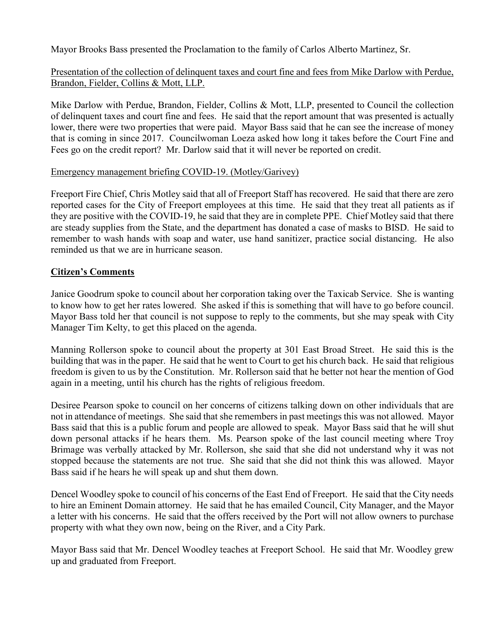Mayor Brooks Bass presented the Proclamation to the family of Carlos Alberto Martinez, Sr.

# Presentation of the collection of delinquent taxes and court fine and fees from Mike Darlow with Perdue, Brandon, Fielder, Collins & Mott, LLP.

Mike Darlow with Perdue, Brandon, Fielder, Collins & Mott, LLP, presented to Council the collection of delinquent taxes and court fine and fees. He said that the report amount that was presented is actually lower, there were two properties that were paid. Mayor Bass said that he can see the increase of money that is coming in since 2017. Councilwoman Loeza asked how long it takes before the Court Fine and Fees go on the credit report? Mr. Darlow said that it will never be reported on credit.

### Emergency management briefing COVID-19. (Motley/Garivey)

Freeport Fire Chief, Chris Motley said that all of Freeport Staff has recovered. He said that there are zero reported cases for the City of Freeport employees at this time. He said that they treat all patients as if they are positive with the COVID-19, he said that they are in complete PPE. Chief Motley said that there are steady supplies from the State, and the department has donated a case of masks to BISD. He said to remember to wash hands with soap and water, use hand sanitizer, practice social distancing. He also reminded us that we are in hurricane season.

## **Citizen's Comments**

Janice Goodrum spoke to council about her corporation taking over the Taxicab Service. She is wanting to know how to get her rates lowered. She asked if this is something that will have to go before council. Mayor Bass told her that council is not suppose to reply to the comments, but she may speak with City Manager Tim Kelty, to get this placed on the agenda.

Manning Rollerson spoke to council about the property at 301 East Broad Street. He said this is the building that was in the paper. He said that he went to Court to get his church back. He said that religious freedom is given to us by the Constitution. Mr. Rollerson said that he better not hear the mention of God again in a meeting, until his church has the rights of religious freedom.

Desiree Pearson spoke to council on her concerns of citizens talking down on other individuals that are not in attendance of meetings. She said that she remembers in past meetings this was not allowed. Mayor Bass said that this is a public forum and people are allowed to speak. Mayor Bass said that he will shut down personal attacks if he hears them. Ms. Pearson spoke of the last council meeting where Troy Brimage was verbally attacked by Mr. Rollerson, she said that she did not understand why it was not stopped because the statements are not true. She said that she did not think this was allowed. Mayor Bass said if he hears he will speak up and shut them down.

Dencel Woodley spoke to council of his concerns of the East End of Freeport. He said that the City needs to hire an Eminent Domain attorney. He said that he has emailed Council, City Manager, and the Mayor a letter with his concerns. He said that the offers received by the Port will not allow owners to purchase property with what they own now, being on the River, and a City Park.

Mayor Bass said that Mr. Dencel Woodley teaches at Freeport School. He said that Mr. Woodley grew up and graduated from Freeport.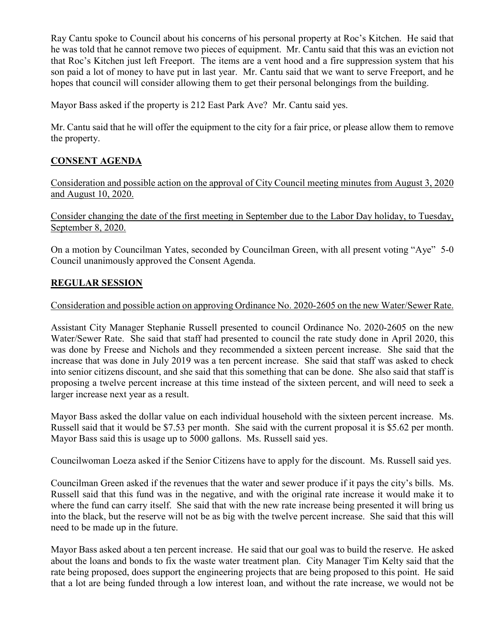Ray Cantu spoke to Council about his concerns of his personal property at Roc's Kitchen. He said that he was told that he cannot remove two pieces of equipment. Mr. Cantu said that this was an eviction not that Roc's Kitchen just left Freeport. The items are a vent hood and a fire suppression system that his son paid a lot of money to have put in last year. Mr. Cantu said that we want to serve Freeport, and he hopes that council will consider allowing them to get their personal belongings from the building.

Mayor Bass asked if the property is 212 East Park Ave? Mr. Cantu said yes.

Mr. Cantu said that he will offer the equipment to the city for a fair price, or please allow them to remove the property.

# **CONSENT AGENDA**

Consideration and possible action on the approval of City Council meeting minutes from August 3, 2020 and August 10, 2020.

Consider changing the date of the first meeting in September due to the Labor Day holiday, to Tuesday, September 8, 2020.

On a motion by Councilman Yates, seconded by Councilman Green, with all present voting "Aye" 5-0 Council unanimously approved the Consent Agenda.

## **REGULAR SESSION**

### Consideration and possible action on approving Ordinance No. 2020-2605 on the new Water/Sewer Rate.

Assistant City Manager Stephanie Russell presented to council Ordinance No. 2020-2605 on the new Water/Sewer Rate. She said that staff had presented to council the rate study done in April 2020, this was done by Freese and Nichols and they recommended a sixteen percent increase. She said that the increase that was done in July 2019 was a ten percent increase. She said that staff was asked to check into senior citizens discount, and she said that this something that can be done. She also said that staff is proposing a twelve percent increase at this time instead of the sixteen percent, and will need to seek a larger increase next year as a result.

Mayor Bass asked the dollar value on each individual household with the sixteen percent increase. Ms. Russell said that it would be \$7.53 per month. She said with the current proposal it is \$5.62 per month. Mayor Bass said this is usage up to 5000 gallons. Ms. Russell said yes.

Councilwoman Loeza asked if the Senior Citizens have to apply for the discount. Ms. Russell said yes.

Councilman Green asked if the revenues that the water and sewer produce if it pays the city's bills. Ms. Russell said that this fund was in the negative, and with the original rate increase it would make it to where the fund can carry itself. She said that with the new rate increase being presented it will bring us into the black, but the reserve will not be as big with the twelve percent increase. She said that this will need to be made up in the future.

Mayor Bass asked about a ten percent increase. He said that our goal was to build the reserve. He asked about the loans and bonds to fix the waste water treatment plan. City Manager Tim Kelty said that the rate being proposed, does support the engineering projects that are being proposed to this point. He said that a lot are being funded through a low interest loan, and without the rate increase, we would not be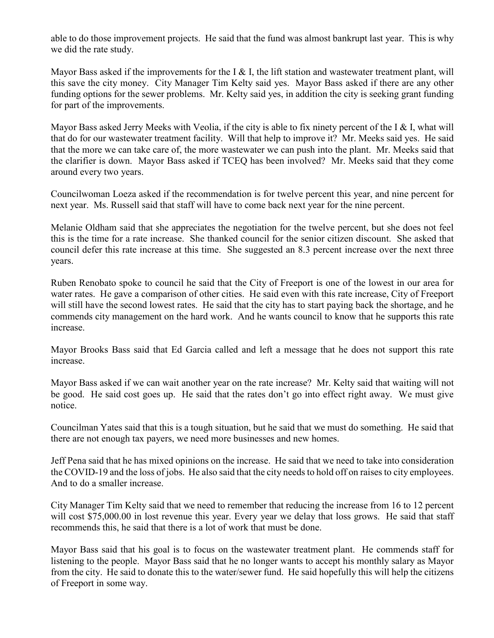able to do those improvement projects. He said that the fund was almost bankrupt last year. This is why we did the rate study.

Mayor Bass asked if the improvements for the I & I, the lift station and wastewater treatment plant, will this save the city money. City Manager Tim Kelty said yes. Mayor Bass asked if there are any other funding options for the sewer problems. Mr. Kelty said yes, in addition the city is seeking grant funding for part of the improvements.

Mayor Bass asked Jerry Meeks with Veolia, if the city is able to fix ninety percent of the  $I \& I$ , what will that do for our wastewater treatment facility. Will that help to improve it? Mr. Meeks said yes. He said that the more we can take care of, the more wastewater we can push into the plant. Mr. Meeks said that the clarifier is down. Mayor Bass asked if TCEQ has been involved? Mr. Meeks said that they come around every two years.

Councilwoman Loeza asked if the recommendation is for twelve percent this year, and nine percent for next year. Ms. Russell said that staff will have to come back next year for the nine percent.

Melanie Oldham said that she appreciates the negotiation for the twelve percent, but she does not feel this is the time for a rate increase. She thanked council for the senior citizen discount. She asked that council defer this rate increase at this time. She suggested an 8.3 percent increase over the next three years.

Ruben Renobato spoke to council he said that the City of Freeport is one of the lowest in our area for water rates. He gave a comparison of other cities. He said even with this rate increase, City of Freeport will still have the second lowest rates. He said that the city has to start paying back the shortage, and he commends city management on the hard work. And he wants council to know that he supports this rate increase.

Mayor Brooks Bass said that Ed Garcia called and left a message that he does not support this rate increase.

Mayor Bass asked if we can wait another year on the rate increase? Mr. Kelty said that waiting will not be good. He said cost goes up. He said that the rates don't go into effect right away. We must give notice.

Councilman Yates said that this is a tough situation, but he said that we must do something. He said that there are not enough tax payers, we need more businesses and new homes.

Jeff Pena said that he has mixed opinions on the increase. He said that we need to take into consideration the COVID-19 and the loss of jobs. He also said that the city needs to hold off on raises to city employees. And to do a smaller increase.

City Manager Tim Kelty said that we need to remember that reducing the increase from 16 to 12 percent will cost \$75,000.00 in lost revenue this year. Every year we delay that loss grows. He said that staff recommends this, he said that there is a lot of work that must be done.

Mayor Bass said that his goal is to focus on the wastewater treatment plant. He commends staff for listening to the people. Mayor Bass said that he no longer wants to accept his monthly salary as Mayor from the city. He said to donate this to the water/sewer fund. He said hopefully this will help the citizens of Freeport in some way.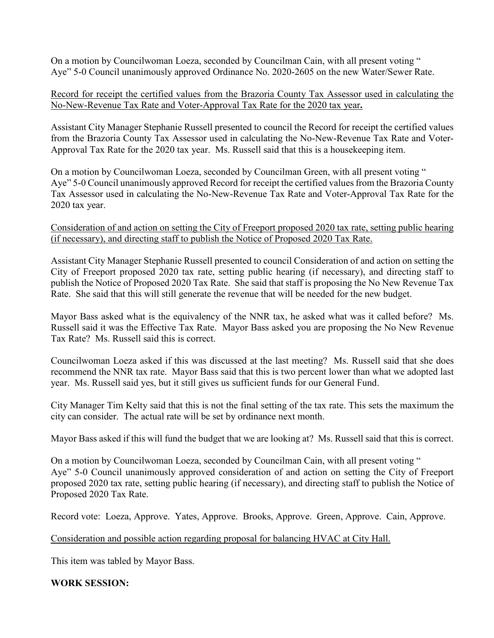On a motion by Councilwoman Loeza, seconded by Councilman Cain, with all present voting " Aye" 5-0 Council unanimously approved Ordinance No. 2020-2605 on the new Water/Sewer Rate.

### Record for receipt the certified values from the Brazoria County Tax Assessor used in calculating the No-New-Revenue Tax Rate and Voter-Approval Tax Rate for the 2020 tax year**.**

Assistant City Manager Stephanie Russell presented to council the Record for receipt the certified values from the Brazoria County Tax Assessor used in calculating the No-New-Revenue Tax Rate and Voter-Approval Tax Rate for the 2020 tax year. Ms. Russell said that this is a housekeeping item.

On a motion by Councilwoman Loeza, seconded by Councilman Green, with all present voting " Aye" 5-0 Council unanimously approved Record for receipt the certified values from the Brazoria County Tax Assessor used in calculating the No-New-Revenue Tax Rate and Voter-Approval Tax Rate for the 2020 tax year.

Consideration of and action on setting the City of Freeport proposed 2020 tax rate, setting public hearing (if necessary), and directing staff to publish the Notice of Proposed 2020 Tax Rate.

Assistant City Manager Stephanie Russell presented to council Consideration of and action on setting the City of Freeport proposed 2020 tax rate, setting public hearing (if necessary), and directing staff to publish the Notice of Proposed 2020 Tax Rate. She said that staff is proposing the No New Revenue Tax Rate. She said that this will still generate the revenue that will be needed for the new budget.

Mayor Bass asked what is the equivalency of the NNR tax, he asked what was it called before? Ms. Russell said it was the Effective Tax Rate. Mayor Bass asked you are proposing the No New Revenue Tax Rate? Ms. Russell said this is correct.

Councilwoman Loeza asked if this was discussed at the last meeting? Ms. Russell said that she does recommend the NNR tax rate. Mayor Bass said that this is two percent lower than what we adopted last year. Ms. Russell said yes, but it still gives us sufficient funds for our General Fund.

City Manager Tim Kelty said that this is not the final setting of the tax rate. This sets the maximum the city can consider. The actual rate will be set by ordinance next month.

Mayor Bass asked if this will fund the budget that we are looking at? Ms. Russell said that this is correct.

On a motion by Councilwoman Loeza, seconded by Councilman Cain, with all present voting " Aye" 5-0 Council unanimously approved consideration of and action on setting the City of Freeport proposed 2020 tax rate, setting public hearing (if necessary), and directing staff to publish the Notice of Proposed 2020 Tax Rate.

Record vote: Loeza, Approve. Yates, Approve. Brooks, Approve. Green, Approve. Cain, Approve.

Consideration and possible action regarding proposal for balancing HVAC at City Hall.

This item was tabled by Mayor Bass.

## **WORK SESSION:**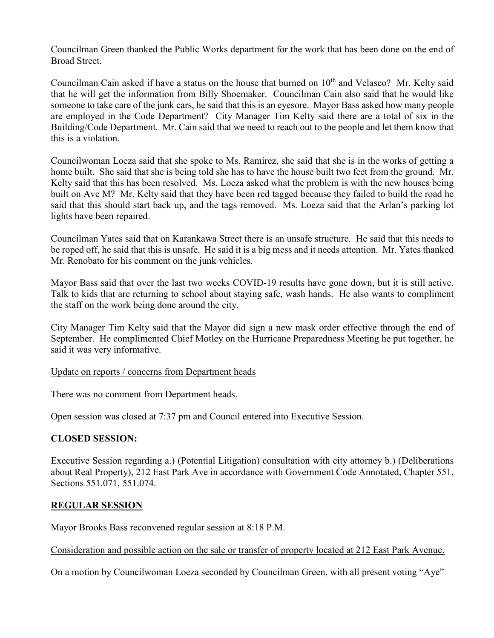Councilman Green thanked the Public Works department for the work that has been done on the end of Broad Street.

Councilman Cain asked if have a status on the house that burned on  $10<sup>th</sup>$  and Velasco? Mr. Kelty said that he will get the information from Billy Shoemaker. Councilman Cain also said that he would like someone to take care of the junk cars, he said that this is an eyesore. Mayor Bass asked how many people are employed in the Code Department? City Manager Tim Kelty said there are a total of six in the Building/Code Department. Mr. Cain said that we need to reach out to the people and let them know that this is a violation.

Councilwoman Loeza said that she spoke to Ms. Ramirez, she said that she is in the works of getting a home built. She said that she is being told she has to have the house built two feet from the ground. Mr. Kelty said that this has been resolved. Ms. Loeza asked what the problem is with the new houses being built on Ave M? Mr. Kelty said that they have been red tagged because they failed to build the road he said that this should start back up, and the tags removed. Ms. Loeza said that the Arlan's parking lot lights have been repaired.

Councilman Yates said that on Karankawa Street there is an unsafe structure. He said that this needs to be roped off, he said that this is unsafe. He said it is a big mess and it needs attention. Mr. Yates thanked Mr. Renobato for his comment on the junk vehicles.

Mayor Bass said that over the last two weeks COVID-19 results have gone down, but it is still active. Talk to kids that are returning to school about staying safe, wash hands. He also wants to compliment the staff on the work being done around the city.

City Manager Tim Kelty said that the Mayor did sign a new mask order effective through the end of September. He complimented Chief Motley on the Hurricane Preparedness Meeting he put together, he said it was very informative.

#### Update on reports / concerns from Department heads

There was no comment from Department heads.

Open session was closed at 7:37 pm and Council entered into Executive Session.

#### **CLOSED SESSION:**

Executive Session regarding a.) (Potential Litigation) consultation with city attorney b.) (Deliberations about Real Property), 212 East Park Ave in accordance with Government Code Annotated, Chapter 551, Sections 551.071, 551.074.

#### **REGULAR SESSION**

Mayor Brooks Bass reconvened regular session at 8:18 P.M.

Consideration and possible action on the sale or transfer of property located at 212 East Park Avenue.

On a motion by Councilwoman Loeza seconded by Councilman Green, with all present voting "Aye"